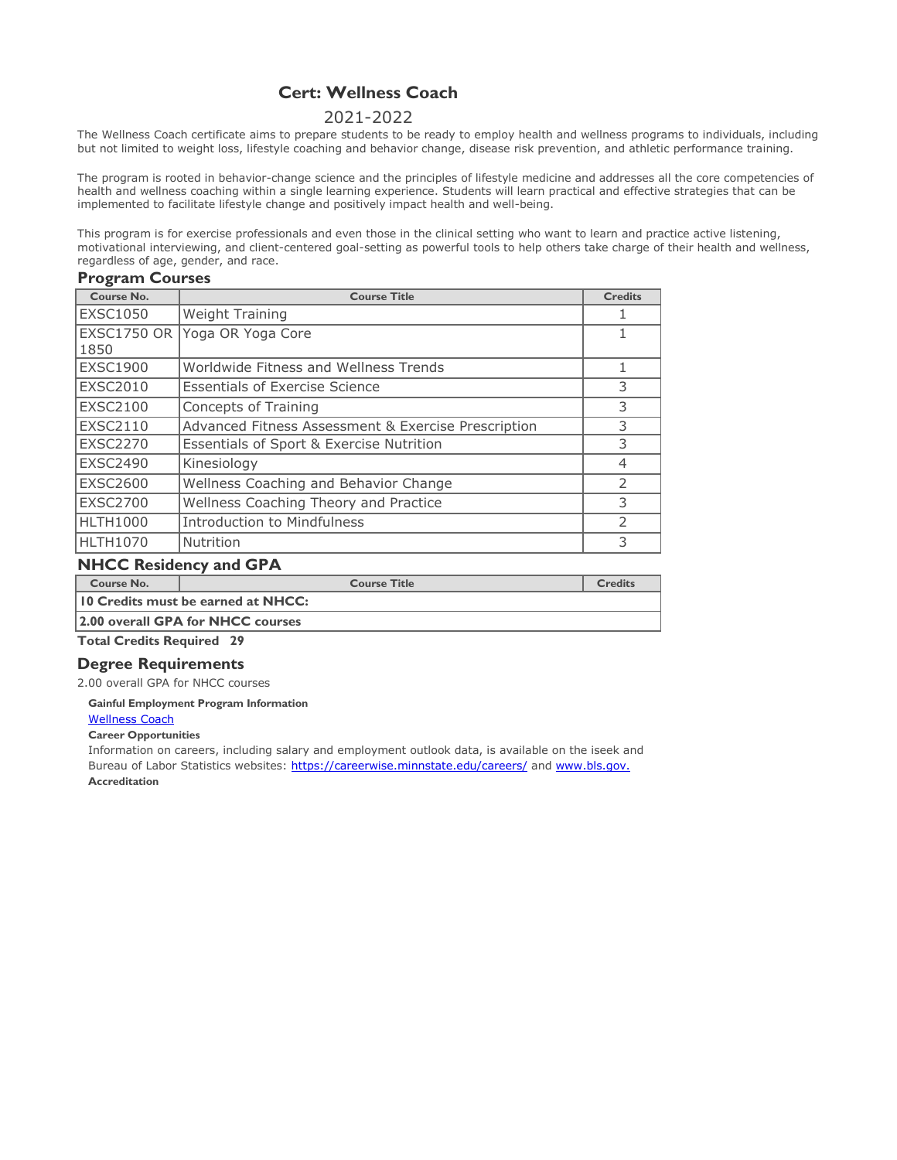# **Cert: Wellness Coach**

# 2021-2022

The Wellness Coach certificate aims to prepare students to be ready to employ health and wellness programs to individuals, including but not limited to weight loss, lifestyle coaching and behavior change, disease risk prevention, and athletic performance training.

The program is rooted in behavior-change science and the principles of lifestyle medicine and addresses all the core competencies of health and wellness coaching within a single learning experience. Students will learn practical and effective strategies that can be implemented to facilitate lifestyle change and positively impact health and well-being.

This program is for exercise professionals and even those in the clinical setting who want to learn and practice active listening, motivational interviewing, and client-centered goal-setting as powerful tools to help others take charge of their health and wellness, regardless of age, gender, and race.

### **Program Courses**

| Course No.                 | <b>Course Title</b>                                 | <b>Credits</b> |
|----------------------------|-----------------------------------------------------|----------------|
| <b>EXSC1050</b>            | <b>Weight Training</b>                              |                |
| <b>EXSC1750 OR</b><br>1850 | Yoga OR Yoga Core                                   |                |
| <b>EXSC1900</b>            | Worldwide Fitness and Wellness Trends               |                |
| <b>EXSC2010</b>            | <b>Essentials of Exercise Science</b>               | 3              |
| <b>EXSC2100</b>            | Concepts of Training                                | 3              |
| <b>EXSC2110</b>            | Advanced Fitness Assessment & Exercise Prescription | 3              |
| <b>EXSC2270</b>            | Essentials of Sport & Exercise Nutrition            | 3              |
| <b>EXSC2490</b>            | Kinesiology                                         | 4              |
| <b>EXSC2600</b>            | Wellness Coaching and Behavior Change               | $\mathcal{P}$  |
| <b>EXSC2700</b>            | Wellness Coaching Theory and Practice               | 3              |
| <b>HLTH1000</b>            | <b>Introduction to Mindfulness</b>                  | $\mathcal{P}$  |
| <b>HLTH1070</b>            | Nutrition                                           | 3              |

# **NHCC Residency and GPA**

| Course No.                                | <b>Course Title</b>               | <b>Credits</b> |  |
|-------------------------------------------|-----------------------------------|----------------|--|
| <b>10 Credits must be earned at NHCC:</b> |                                   |                |  |
|                                           | 2.00 overall GPA for NHCC courses |                |  |

**Total Credits Required 29**

# **Degree Requirements**

2.00 overall GPA for NHCC courses

### **[Gainful Employme](http://www.mnscu.edu/admissions/ge/northhennepin/GEDT_0153_231132016_1/gedt.html)nt Program Information**

[Wellness Coach](http://www.mnscu.edu/admissions/ge/northhennepin/GEDT_0153_231132016_1/gedt.html)

#### **[Career Opportuni](http://www.mnscu.edu/admissions/ge/northhennepin/GEDT_0153_231132016_1/gedt.html)ties**

[Information on ca](http://www.mnscu.edu/admissions/ge/northhennepin/GEDT_0153_231132016_1/gedt.html)reers, including salary and employment outlook data, is available on the iseek and [Bureau of Labor Statistics websites: https://careerwise.minnstate.edu/careers/](http://www.mnscu.edu/admissions/ge/northhennepin/GEDT_0153_231132016_1/gedt.html) and [www.bls.gov.](http://www.bls.gov/) **[Accreditation](http://www.mnscu.edu/admissions/ge/northhennepin/GEDT_0153_231132016_1/gedt.html)**